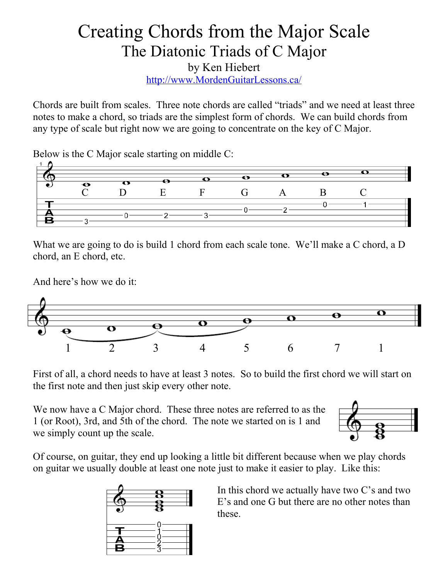## Creating Chords from the Major Scale The Diatonic Triads of C Major by Ken Hiebert <http://www.MordenGuitarLessons.ca/>

Chords are built from scales. Three note chords are called "triads" and we need at least three notes to make a chord, so triads are the simplest form of chords. We can build chords from any type of scale but right now we are going to concentrate on the key of C Major.

Below is the C Major scale starting on middle C:



What we are going to do is build 1 chord from each scale tone. We'll make a C chord, a D chord, an E chord, etc.

And here's how we do it:



First of all, a chord needs to have at least 3 notes. So to build the first chord we will start on the first note and then just skip every other note.

We now have a C Major chord. These three notes are referred to as the 1 (or Root), 3rd, and 5th of the chord. The note we started on is 1 and we simply count up the scale.



Of course, on guitar, they end up looking a little bit different because when we play chords on guitar we usually double at least one note just to make it easier to play. Like this:



In this chord we actually have two C's and two E's and one G but there are no other notes than these.